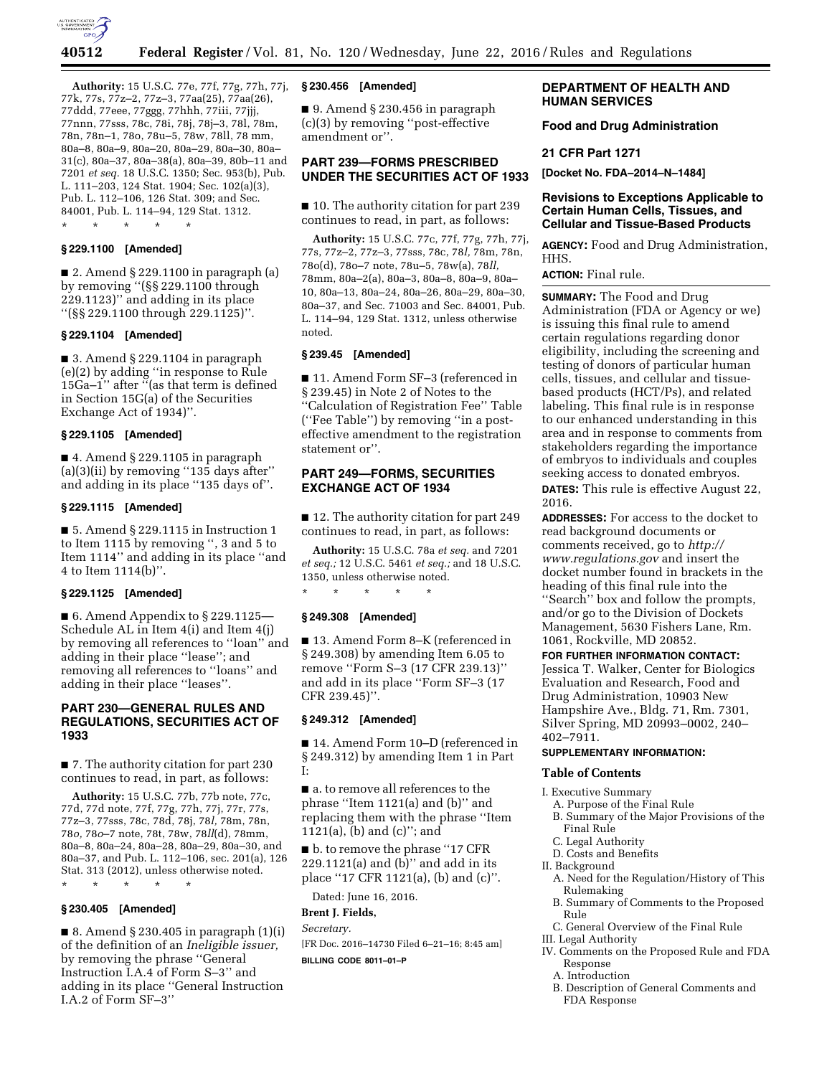

**Authority:** 15 U.S.C. 77e, 77f, 77g, 77h, 77j, 77k, 77s, 77z–2, 77z–3, 77aa(25), 77aa(26), 77ddd, 77eee, 77ggg, 77hhh, 77iii, 77jjj, 77nnn, 77sss, 78c, 78i, 78j, 78j–3, 78l, 78m, 78n, 78n–1, 78o, 78u–5, 78w, 78ll, 78 mm, 80a–8, 80a–9, 80a–20, 80a–29, 80a–30, 80a– 31(c), 80a–37, 80a–38(a), 80a–39, 80b–11 and 7201 *et seq.* 18 U.S.C. 1350; Sec. 953(b), Pub. L. 111–203, 124 Stat. 1904; Sec. 102(a)(3), Pub. L. 112–106, 126 Stat. 309; and Sec. 84001, Pub. L. 114–94, 129 Stat. 1312. \* \* \* \* \*

## **§ 229.1100 [Amended]**

■ 2. Amend § 229.1100 in paragraph (a) by removing ''(§§ 229.1100 through 229.1123)'' and adding in its place ''(§§ 229.1100 through 229.1125)''.

### **§ 229.1104 [Amended]**

■ 3. Amend § 229.1104 in paragraph (e)(2) by adding ''in response to Rule 15Ga–1'' after ''(as that term is defined in Section 15G(a) of the Securities Exchange Act of 1934)''.

## **§ 229.1105 [Amended]**

 $\blacksquare$  4. Amend § 229.1105 in paragraph (a)(3)(ii) by removing ''135 days after'' and adding in its place "135 days of".

# **§ 229.1115 [Amended]**

■ 5. Amend § 229.1115 in Instruction 1 to Item 1115 by removing '', 3 and 5 to Item 1114'' and adding in its place ''and 4 to Item 1114(b)''.

## **§ 229.1125 [Amended]**

 $\blacksquare$  6. Amend Appendix to § 229.1125– Schedule AL in Item 4(i) and Item 4(j) by removing all references to ''loan'' and adding in their place ''lease''; and removing all references to ''loans'' and adding in their place ''leases''.

## **PART 230—GENERAL RULES AND REGULATIONS, SECURITIES ACT OF 1933**

■ 7. The authority citation for part 230 continues to read, in part, as follows:

**Authority:** 15 U.S.C. 77b, 77b note, 77c, 77d, 77d note, 77f, 77g, 77h, 77j, 77r, 77s, 77z–3, 77sss, 78c, 78d, 78j, 78*l,* 78m, 78n, 78*o,* 78*o*–7 note, 78t, 78w, 78*ll*(d), 78mm, 80a–8, 80a–24, 80a–28, 80a–29, 80a–30, and 80a–37, and Pub. L. 112–106, sec. 201(a), 126 Stat. 313 (2012), unless otherwise noted.

\* \* \* \* \*

# **§ 230.405 [Amended]**

■ 8. Amend § 230.405 in paragraph  $(1)(i)$ of the definition of an *Ineligible issuer,*  by removing the phrase "General Instruction I.A.4 of Form S–3'' and adding in its place ''General Instruction I.A.2 of Form SF–3''

## **§ 230.456 [Amended]**

■ 9. Amend § 230.456 in paragraph (c)(3) by removing ''post-effective amendment or''.

## **PART 239—FORMS PRESCRIBED UNDER THE SECURITIES ACT OF 1933**

■ 10. The authority citation for part 239 continues to read, in part, as follows:

**Authority:** 15 U.S.C. 77c, 77f, 77g, 77h, 77j, 77s, 77z–2, 77z–3, 77sss, 78c, 78*l,* 78m, 78n, 78o(d), 78o–7 note, 78u–5, 78w(a), 78*ll,*  78mm, 80a–2(a), 80a–3, 80a–8, 80a–9, 80a– 10, 80a–13, 80a–24, 80a–26, 80a–29, 80a–30, 80a–37, and Sec. 71003 and Sec. 84001, Pub. L. 114–94, 129 Stat. 1312, unless otherwise noted.

### **§ 239.45 [Amended]**

■ 11. Amend Form SF-3 (referenced in § 239.45) in Note 2 of Notes to the ''Calculation of Registration Fee'' Table (''Fee Table'') by removing ''in a posteffective amendment to the registration statement or''.

# **PART 249—FORMS, SECURITIES EXCHANGE ACT OF 1934**

■ 12. The authority citation for part 249 continues to read, in part, as follows:

**Authority:** 15 U.S.C. 78a *et seq.* and 7201 *et seq.;* 12 U.S.C. 5461 *et seq.;* and 18 U.S.C. 1350, unless otherwise noted.

#### **§ 249.308 [Amended]**

\* \* \* \* \*

■ 13. Amend Form 8–K (referenced in § 249.308) by amending Item 6.05 to remove ''Form S–3 (17 CFR 239.13)'' and add in its place ''Form SF–3 (17 CFR 239.45)''.

#### **§ 249.312 [Amended]**

■ 14. Amend Form 10–D (referenced in § 249.312) by amending Item 1 in Part I:

■ a. to remove all references to the phrase ''Item 1121(a) and (b)'' and replacing them with the phrase ''Item 1121(a), (b) and (c)''; and

■ b. to remove the phrase "17 CFR 229.1121(a) and (b)'' and add in its place ''17 CFR 1121(a), (b) and (c)''.

# Dated: June 16, 2016.

**Brent J. Fields,** 

*Secretary.* 

[FR Doc. 2016–14730 Filed 6–21–16; 8:45 am] **BILLING CODE 8011–01–P** 

# **DEPARTMENT OF HEALTH AND HUMAN SERVICES**

**Food and Drug Administration** 

#### **21 CFR Part 1271**

**[Docket No. FDA–2014–N–1484]** 

## **Revisions to Exceptions Applicable to Certain Human Cells, Tissues, and Cellular and Tissue-Based Products**

**AGENCY:** Food and Drug Administration, HHS.

**ACTION:** Final rule.

**SUMMARY:** The Food and Drug Administration (FDA or Agency or we) is issuing this final rule to amend certain regulations regarding donor eligibility, including the screening and testing of donors of particular human cells, tissues, and cellular and tissuebased products (HCT/Ps), and related labeling. This final rule is in response to our enhanced understanding in this area and in response to comments from stakeholders regarding the importance of embryos to individuals and couples seeking access to donated embryos. **DATES:** This rule is effective August 22,

2016.

**ADDRESSES:** For access to the docket to read background documents or comments received, go to *[http://](http://www.regulations.gov) [www.regulations.gov](http://www.regulations.gov)* and insert the docket number found in brackets in the heading of this final rule into the ''Search'' box and follow the prompts, and/or go to the Division of Dockets Management, 5630 Fishers Lane, Rm. 1061, Rockville, MD 20852.

#### **FOR FURTHER INFORMATION CONTACT:**

Jessica T. Walker, Center for Biologics Evaluation and Research, Food and Drug Administration, 10903 New Hampshire Ave., Bldg. 71, Rm. 7301, Silver Spring, MD 20993–0002, 240– 402–7911.

# **SUPPLEMENTARY INFORMATION:**

#### **Table of Contents**

I. Executive Summary

- A. Purpose of the Final Rule
- B. Summary of the Major Provisions of the Final Rule
- C. Legal Authority
- D. Costs and Benefits
- II. Background
- A. Need for the Regulation/History of This Rulemaking
- B. Summary of Comments to the Proposed Rule
- C. General Overview of the Final Rule
- III. Legal Authority
- IV. Comments on the Proposed Rule and FDA Response
	- A. Introduction
	- B. Description of General Comments and FDA Response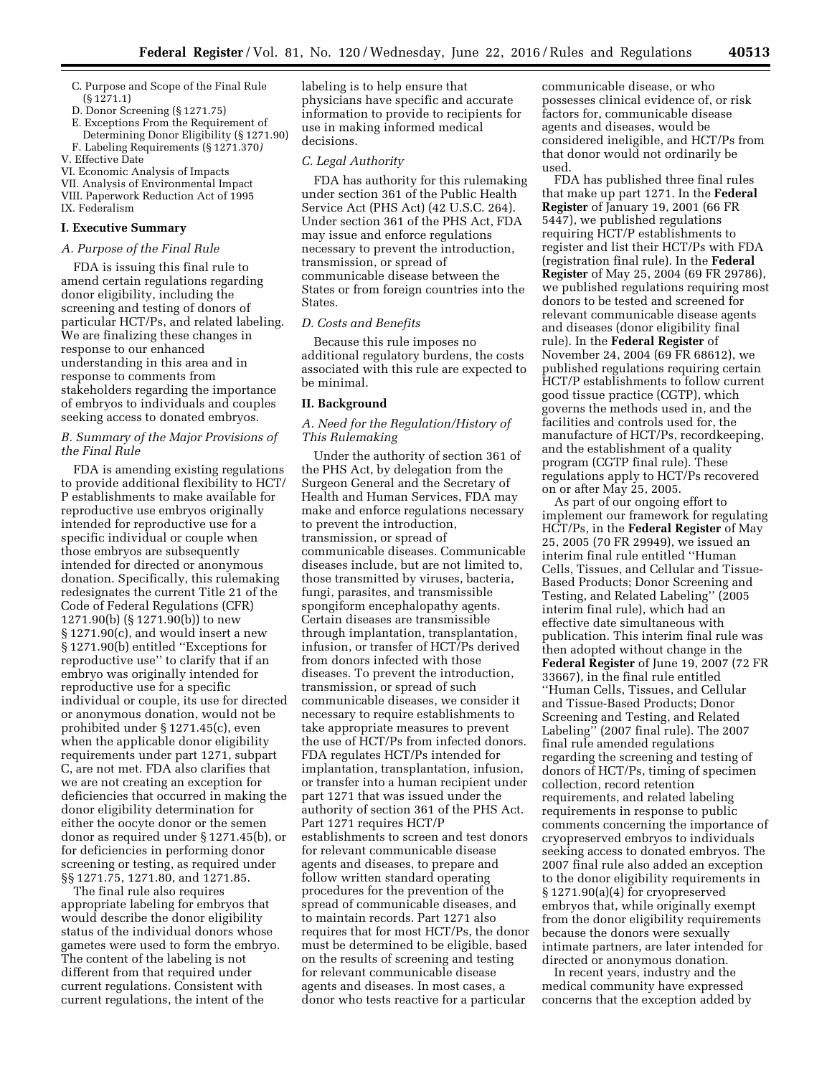- C. Purpose and Scope of the Final Rule (§ 1271.1)
- D. Donor Screening (§ 1271.75)
- E. Exceptions From the Requirement of Determining Donor Eligibility (§ 1271.90)
- F. Labeling Requirements (§ 1271.370*)*  V. Effective Date
- 
- VI. Economic Analysis of Impacts VII. Analysis of Environmental Impact
- VIII. Paperwork Reduction Act of 1995
- IX. Federalism

### **I. Executive Summary**

## *A. Purpose of the Final Rule*

FDA is issuing this final rule to amend certain regulations regarding donor eligibility, including the screening and testing of donors of particular HCT/Ps, and related labeling. We are finalizing these changes in response to our enhanced understanding in this area and in response to comments from stakeholders regarding the importance of embryos to individuals and couples seeking access to donated embryos.

# *B. Summary of the Major Provisions of the Final Rule*

FDA is amending existing regulations to provide additional flexibility to HCT/ P establishments to make available for reproductive use embryos originally intended for reproductive use for a specific individual or couple when those embryos are subsequently intended for directed or anonymous donation. Specifically, this rulemaking redesignates the current Title 21 of the Code of Federal Regulations (CFR) 1271.90(b) (§ 1271.90(b)) to new § 1271.90(c), and would insert a new § 1271.90(b) entitled ''Exceptions for reproductive use'' to clarify that if an embryo was originally intended for reproductive use for a specific individual or couple, its use for directed or anonymous donation, would not be prohibited under § 1271.45(c), even when the applicable donor eligibility requirements under part 1271, subpart C, are not met. FDA also clarifies that we are not creating an exception for deficiencies that occurred in making the donor eligibility determination for either the oocyte donor or the semen donor as required under § 1271.45(b), or for deficiencies in performing donor screening or testing, as required under §§ 1271.75, 1271.80, and 1271.85.

The final rule also requires appropriate labeling for embryos that would describe the donor eligibility status of the individual donors whose gametes were used to form the embryo. The content of the labeling is not different from that required under current regulations. Consistent with current regulations, the intent of the

labeling is to help ensure that physicians have specific and accurate information to provide to recipients for use in making informed medical decisions.

### *C. Legal Authority*

FDA has authority for this rulemaking under section 361 of the Public Health Service Act (PHS Act) (42 U.S.C. 264). Under section 361 of the PHS Act, FDA may issue and enforce regulations necessary to prevent the introduction, transmission, or spread of communicable disease between the States or from foreign countries into the States.

## *D. Costs and Benefits*

Because this rule imposes no additional regulatory burdens, the costs associated with this rule are expected to be minimal.

#### **II. Background**

# *A. Need for the Regulation/History of This Rulemaking*

Under the authority of section 361 of the PHS Act, by delegation from the Surgeon General and the Secretary of Health and Human Services, FDA may make and enforce regulations necessary to prevent the introduction, transmission, or spread of communicable diseases. Communicable diseases include, but are not limited to, those transmitted by viruses, bacteria, fungi, parasites, and transmissible spongiform encephalopathy agents. Certain diseases are transmissible through implantation, transplantation, infusion, or transfer of HCT/Ps derived from donors infected with those diseases. To prevent the introduction, transmission, or spread of such communicable diseases, we consider it necessary to require establishments to take appropriate measures to prevent the use of HCT/Ps from infected donors. FDA regulates HCT/Ps intended for implantation, transplantation, infusion, or transfer into a human recipient under part 1271 that was issued under the authority of section 361 of the PHS Act. Part 1271 requires HCT/P establishments to screen and test donors for relevant communicable disease agents and diseases, to prepare and follow written standard operating procedures for the prevention of the spread of communicable diseases, and to maintain records. Part 1271 also requires that for most HCT/Ps, the donor must be determined to be eligible, based on the results of screening and testing for relevant communicable disease agents and diseases. In most cases, a donor who tests reactive for a particular

communicable disease, or who possesses clinical evidence of, or risk factors for, communicable disease agents and diseases, would be considered ineligible, and HCT/Ps from that donor would not ordinarily be used.

FDA has published three final rules that make up part 1271. In the **Federal Register** of January 19, 2001 (66 FR 5447), we published regulations requiring HCT/P establishments to register and list their HCT/Ps with FDA (registration final rule). In the **Federal Register** of May 25, 2004 (69 FR 29786), we published regulations requiring most donors to be tested and screened for relevant communicable disease agents and diseases (donor eligibility final rule). In the **Federal Register** of November 24, 2004 (69 FR 68612), we published regulations requiring certain HCT/P establishments to follow current good tissue practice (CGTP), which governs the methods used in, and the facilities and controls used for, the manufacture of HCT/Ps, recordkeeping, and the establishment of a quality program (CGTP final rule). These regulations apply to HCT/Ps recovered on or after May 25, 2005.

As part of our ongoing effort to implement our framework for regulating HCT/Ps, in the **Federal Register** of May 25, 2005 (70 FR 29949), we issued an interim final rule entitled ''Human Cells, Tissues, and Cellular and Tissue-Based Products; Donor Screening and Testing, and Related Labeling'' (2005 interim final rule), which had an effective date simultaneous with publication. This interim final rule was then adopted without change in the **Federal Register** of June 19, 2007 (72 FR 33667), in the final rule entitled ''Human Cells, Tissues, and Cellular and Tissue-Based Products; Donor Screening and Testing, and Related Labeling'' (2007 final rule). The 2007 final rule amended regulations regarding the screening and testing of donors of HCT/Ps, timing of specimen collection, record retention requirements, and related labeling requirements in response to public comments concerning the importance of cryopreserved embryos to individuals seeking access to donated embryos. The 2007 final rule also added an exception to the donor eligibility requirements in § 1271.90(a)(4) for cryopreserved embryos that, while originally exempt from the donor eligibility requirements because the donors were sexually intimate partners, are later intended for directed or anonymous donation.

In recent years, industry and the medical community have expressed concerns that the exception added by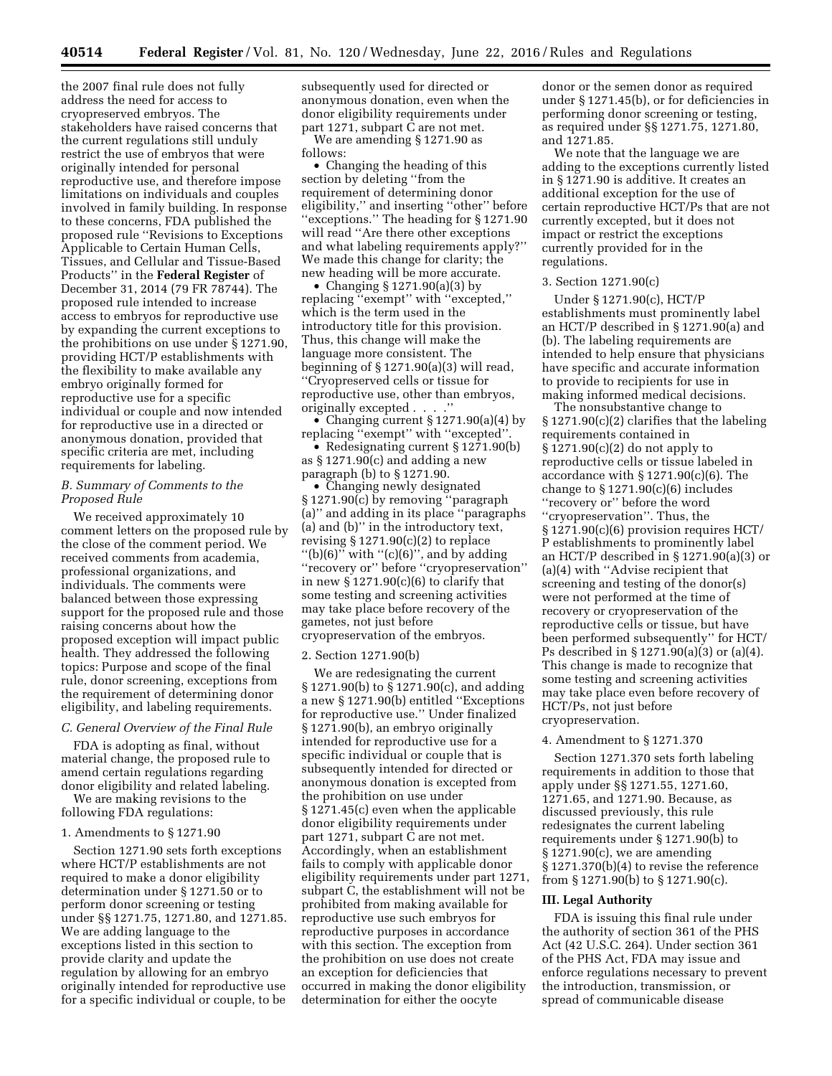the 2007 final rule does not fully address the need for access to cryopreserved embryos. The stakeholders have raised concerns that the current regulations still unduly restrict the use of embryos that were originally intended for personal reproductive use, and therefore impose limitations on individuals and couples involved in family building. In response to these concerns, FDA published the proposed rule ''Revisions to Exceptions Applicable to Certain Human Cells, Tissues, and Cellular and Tissue-Based Products'' in the **Federal Register** of December 31, 2014 (79 FR 78744). The proposed rule intended to increase access to embryos for reproductive use by expanding the current exceptions to the prohibitions on use under § 1271.90, providing HCT/P establishments with the flexibility to make available any embryo originally formed for reproductive use for a specific individual or couple and now intended for reproductive use in a directed or anonymous donation, provided that specific criteria are met, including requirements for labeling.

## *B. Summary of Comments to the Proposed Rule*

We received approximately 10 comment letters on the proposed rule by the close of the comment period. We received comments from academia, professional organizations, and individuals. The comments were balanced between those expressing support for the proposed rule and those raising concerns about how the proposed exception will impact public health. They addressed the following topics: Purpose and scope of the final rule, donor screening, exceptions from the requirement of determining donor eligibility, and labeling requirements.

### *C. General Overview of the Final Rule*

FDA is adopting as final, without material change, the proposed rule to amend certain regulations regarding donor eligibility and related labeling.

We are making revisions to the following FDA regulations:

### 1. Amendments to § 1271.90

Section 1271.90 sets forth exceptions where HCT/P establishments are not required to make a donor eligibility determination under § 1271.50 or to perform donor screening or testing under §§ 1271.75, 1271.80, and 1271.85. We are adding language to the exceptions listed in this section to provide clarity and update the regulation by allowing for an embryo originally intended for reproductive use for a specific individual or couple, to be

subsequently used for directed or anonymous donation, even when the donor eligibility requirements under part 1271, subpart C are not met.

We are amending § 1271.90 as follows:

• Changing the heading of this section by deleting ''from the requirement of determining donor eligibility,'' and inserting ''other'' before ''exceptions.'' The heading for § 1271.90 will read ''Are there other exceptions and what labeling requirements apply?'' We made this change for clarity; the new heading will be more accurate.

• Changing § 1271.90(a)(3) by replacing ''exempt'' with ''excepted,'' which is the term used in the introductory title for this provision. Thus, this change will make the language more consistent. The beginning of § 1271.90(a)(3) will read, ''Cryopreserved cells or tissue for reproductive use, other than embryos, originally excepted . . . .''

• Changing current § 1271.90(a)(4) by replacing ''exempt'' with ''excepted''.

• Redesignating current § 1271.90(b) as § 1271.90(c) and adding a new paragraph (b) to § 1271.90.

• Changing newly designated § 1271.90(c) by removing ''paragraph (a)'' and adding in its place ''paragraphs (a) and (b)'' in the introductory text, revising § 1271.90(c)(2) to replace "(b)(6)" with " $(c)(6)$ ", and by adding ''recovery or'' before ''cryopreservation'' in new  $$1271.90(c)(6)$  to clarify that some testing and screening activities may take place before recovery of the gametes, not just before cryopreservation of the embryos.

#### 2. Section 1271.90(b)

We are redesignating the current § 1271.90(b) to § 1271.90(c), and adding a new § 1271.90(b) entitled ''Exceptions for reproductive use.'' Under finalized § 1271.90(b), an embryo originally intended for reproductive use for a specific individual or couple that is subsequently intended for directed or anonymous donation is excepted from the prohibition on use under § 1271.45(c) even when the applicable donor eligibility requirements under part 1271, subpart C are not met. Accordingly, when an establishment fails to comply with applicable donor eligibility requirements under part 1271, subpart C, the establishment will not be prohibited from making available for reproductive use such embryos for reproductive purposes in accordance with this section. The exception from the prohibition on use does not create an exception for deficiencies that occurred in making the donor eligibility determination for either the oocyte

donor or the semen donor as required under § 1271.45(b), or for deficiencies in performing donor screening or testing, as required under §§ 1271.75, 1271.80, and 1271.85.

We note that the language we are adding to the exceptions currently listed in § 1271.90 is additive. It creates an additional exception for the use of certain reproductive HCT/Ps that are not currently excepted, but it does not impact or restrict the exceptions currently provided for in the regulations.

# 3. Section 1271.90(c)

Under § 1271.90(c), HCT/P establishments must prominently label an HCT/P described in § 1271.90(a) and (b). The labeling requirements are intended to help ensure that physicians have specific and accurate information to provide to recipients for use in making informed medical decisions.

The nonsubstantive change to § 1271.90(c)(2) clarifies that the labeling requirements contained in § 1271.90(c)(2) do not apply to reproductive cells or tissue labeled in accordance with  $\S 1271.90(c)(6)$ . The change to  $\S 1271.90(c)(6)$  includes ''recovery or'' before the word ''cryopreservation''. Thus, the § 1271.90(c)(6) provision requires HCT/ P establishments to prominently label an HCT/P described in § 1271.90(a)(3) or (a)(4) with ''Advise recipient that screening and testing of the donor(s) were not performed at the time of recovery or cryopreservation of the reproductive cells or tissue, but have been performed subsequently'' for HCT/ Ps described in § 1271.90(a)(3) or (a)(4). This change is made to recognize that some testing and screening activities may take place even before recovery of HCT/Ps, not just before cryopreservation.

### 4. Amendment to § 1271.370

Section 1271.370 sets forth labeling requirements in addition to those that apply under §§ 1271.55, 1271.60, 1271.65, and 1271.90. Because, as discussed previously, this rule redesignates the current labeling requirements under § 1271.90(b) to § 1271.90(c), we are amending § 1271.370(b)(4) to revise the reference from § 1271.90(b) to § 1271.90(c).

#### **III. Legal Authority**

FDA is issuing this final rule under the authority of section 361 of the PHS Act (42 U.S.C. 264). Under section 361 of the PHS Act, FDA may issue and enforce regulations necessary to prevent the introduction, transmission, or spread of communicable disease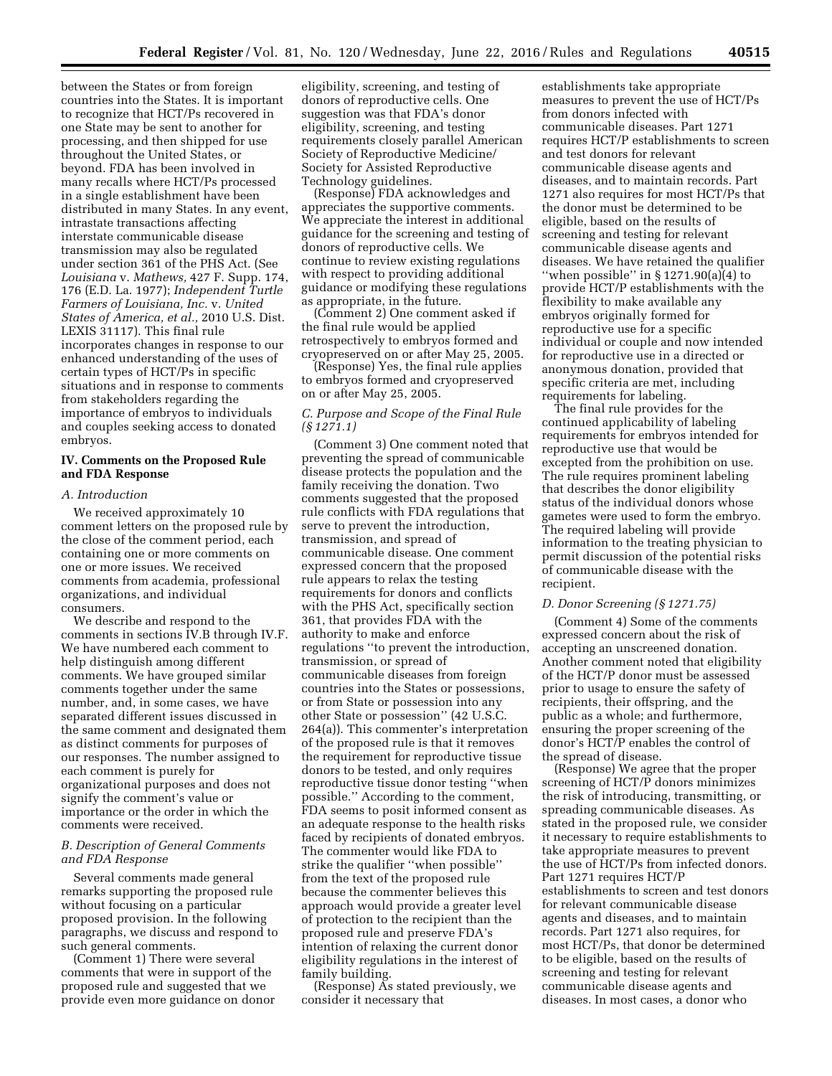between the States or from foreign countries into the States. It is important to recognize that HCT/Ps recovered in one State may be sent to another for processing, and then shipped for use throughout the United States, or beyond. FDA has been involved in many recalls where HCT/Ps processed in a single establishment have been distributed in many States. In any event, intrastate transactions affecting interstate communicable disease transmission may also be regulated under section 361 of the PHS Act. (See *Louisiana* v. *Mathews,* 427 F. Supp. 174, 176 (E.D. La. 1977); *Independent Turtle Farmers of Louisiana, Inc.* v. *United States of America, et al.,* 2010 U.S. Dist. LEXIS 31117). This final rule incorporates changes in response to our enhanced understanding of the uses of certain types of HCT/Ps in specific situations and in response to comments from stakeholders regarding the importance of embryos to individuals and couples seeking access to donated embryos.

# **IV. Comments on the Proposed Rule and FDA Response**

## *A. Introduction*

We received approximately 10 comment letters on the proposed rule by the close of the comment period, each containing one or more comments on one or more issues. We received comments from academia, professional organizations, and individual consumers.

We describe and respond to the comments in sections IV.B through IV.F. We have numbered each comment to help distinguish among different comments. We have grouped similar comments together under the same number, and, in some cases, we have separated different issues discussed in the same comment and designated them as distinct comments for purposes of our responses. The number assigned to each comment is purely for organizational purposes and does not signify the comment's value or importance or the order in which the comments were received.

## *B. Description of General Comments and FDA Response*

Several comments made general remarks supporting the proposed rule without focusing on a particular proposed provision. In the following paragraphs, we discuss and respond to such general comments.

(Comment 1) There were several comments that were in support of the proposed rule and suggested that we provide even more guidance on donor eligibility, screening, and testing of donors of reproductive cells. One suggestion was that FDA's donor eligibility, screening, and testing requirements closely parallel American Society of Reproductive Medicine/ Society for Assisted Reproductive Technology guidelines.

(Response) FDA acknowledges and appreciates the supportive comments. We appreciate the interest in additional guidance for the screening and testing of donors of reproductive cells. We continue to review existing regulations with respect to providing additional guidance or modifying these regulations as appropriate, in the future.

(Comment 2) One comment asked if the final rule would be applied retrospectively to embryos formed and cryopreserved on or after May 25, 2005.

(Response) Yes, the final rule applies to embryos formed and cryopreserved on or after May 25, 2005.

## *C. Purpose and Scope of the Final Rule (§ 1271.1)*

(Comment 3) One comment noted that preventing the spread of communicable disease protects the population and the family receiving the donation. Two comments suggested that the proposed rule conflicts with FDA regulations that serve to prevent the introduction, transmission, and spread of communicable disease. One comment expressed concern that the proposed rule appears to relax the testing requirements for donors and conflicts with the PHS Act, specifically section 361, that provides FDA with the authority to make and enforce regulations ''to prevent the introduction, transmission, or spread of communicable diseases from foreign countries into the States or possessions, or from State or possession into any other State or possession'' (42 U.S.C. 264(a)). This commenter's interpretation of the proposed rule is that it removes the requirement for reproductive tissue donors to be tested, and only requires reproductive tissue donor testing ''when possible.'' According to the comment, FDA seems to posit informed consent as an adequate response to the health risks faced by recipients of donated embryos. The commenter would like FDA to strike the qualifier ''when possible'' from the text of the proposed rule because the commenter believes this approach would provide a greater level of protection to the recipient than the proposed rule and preserve FDA's intention of relaxing the current donor eligibility regulations in the interest of family building.

(Response) As stated previously, we consider it necessary that

establishments take appropriate measures to prevent the use of HCT/Ps from donors infected with communicable diseases. Part 1271 requires HCT/P establishments to screen and test donors for relevant communicable disease agents and diseases, and to maintain records. Part 1271 also requires for most HCT/Ps that the donor must be determined to be eligible, based on the results of screening and testing for relevant communicable disease agents and diseases. We have retained the qualifier "when possible" in  $\S 1271.90(a)(4)$  to provide HCT/P establishments with the flexibility to make available any embryos originally formed for reproductive use for a specific individual or couple and now intended for reproductive use in a directed or anonymous donation, provided that specific criteria are met, including requirements for labeling.

The final rule provides for the continued applicability of labeling requirements for embryos intended for reproductive use that would be excepted from the prohibition on use. The rule requires prominent labeling that describes the donor eligibility status of the individual donors whose gametes were used to form the embryo. The required labeling will provide information to the treating physician to permit discussion of the potential risks of communicable disease with the recipient.

## *D. Donor Screening (§ 1271.75)*

(Comment 4) Some of the comments expressed concern about the risk of accepting an unscreened donation. Another comment noted that eligibility of the HCT/P donor must be assessed prior to usage to ensure the safety of recipients, their offspring, and the public as a whole; and furthermore, ensuring the proper screening of the donor's HCT/P enables the control of the spread of disease.

(Response) We agree that the proper screening of HCT/P donors minimizes the risk of introducing, transmitting, or spreading communicable diseases. As stated in the proposed rule, we consider it necessary to require establishments to take appropriate measures to prevent the use of HCT/Ps from infected donors. Part 1271 requires HCT/P establishments to screen and test donors for relevant communicable disease agents and diseases, and to maintain records. Part 1271 also requires, for most HCT/Ps, that donor be determined to be eligible, based on the results of screening and testing for relevant communicable disease agents and diseases. In most cases, a donor who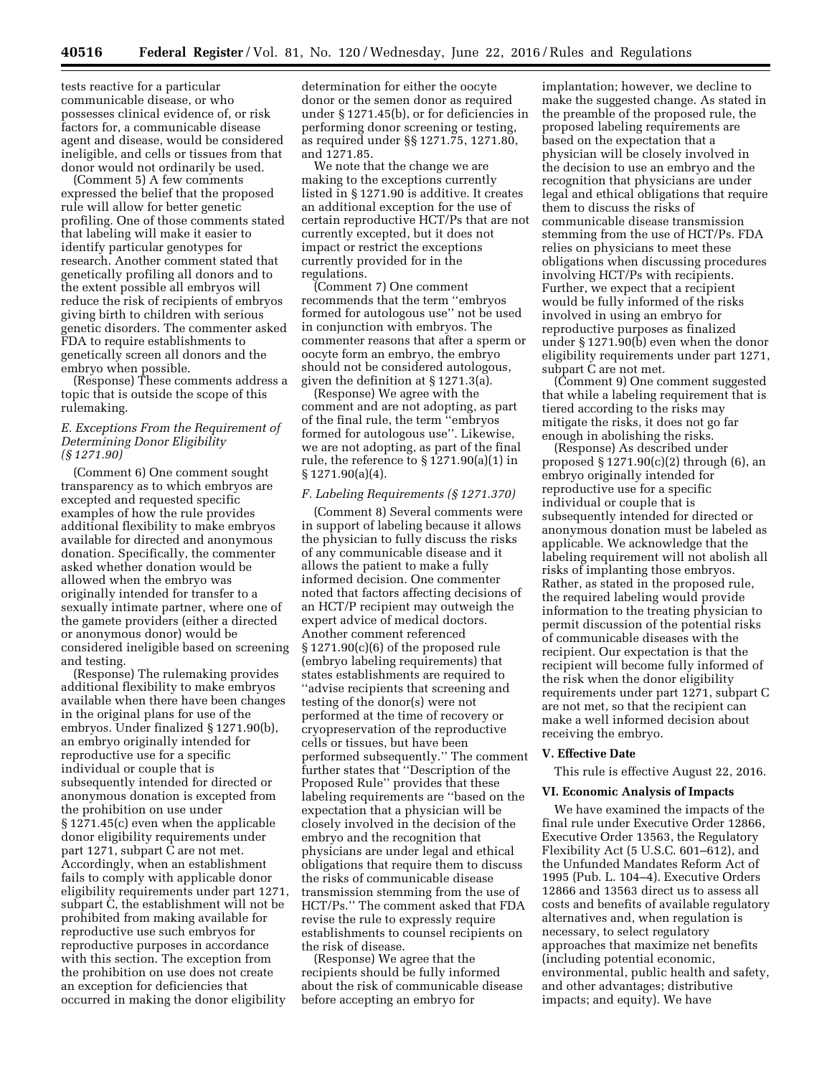tests reactive for a particular communicable disease, or who possesses clinical evidence of, or risk factors for, a communicable disease agent and disease, would be considered ineligible, and cells or tissues from that donor would not ordinarily be used.

(Comment 5) A few comments expressed the belief that the proposed rule will allow for better genetic profiling. One of those comments stated that labeling will make it easier to identify particular genotypes for research. Another comment stated that genetically profiling all donors and to the extent possible all embryos will reduce the risk of recipients of embryos giving birth to children with serious genetic disorders. The commenter asked FDA to require establishments to genetically screen all donors and the embryo when possible.

(Response) These comments address a topic that is outside the scope of this rulemaking.

## *E. Exceptions From the Requirement of Determining Donor Eligibility (§ 1271.90)*

(Comment 6) One comment sought transparency as to which embryos are excepted and requested specific examples of how the rule provides additional flexibility to make embryos available for directed and anonymous donation. Specifically, the commenter asked whether donation would be allowed when the embryo was originally intended for transfer to a sexually intimate partner, where one of the gamete providers (either a directed or anonymous donor) would be considered ineligible based on screening and testing.

(Response) The rulemaking provides additional flexibility to make embryos available when there have been changes in the original plans for use of the embryos. Under finalized § 1271.90(b), an embryo originally intended for reproductive use for a specific individual or couple that is subsequently intended for directed or anonymous donation is excepted from the prohibition on use under § 1271.45(c) even when the applicable donor eligibility requirements under part 1271, subpart C are not met. Accordingly, when an establishment fails to comply with applicable donor eligibility requirements under part 1271, subpart C, the establishment will not be prohibited from making available for reproductive use such embryos for reproductive purposes in accordance with this section. The exception from the prohibition on use does not create an exception for deficiencies that occurred in making the donor eligibility

determination for either the oocyte donor or the semen donor as required under § 1271.45(b), or for deficiencies in performing donor screening or testing, as required under §§ 1271.75, 1271.80, and 1271.85.

We note that the change we are making to the exceptions currently listed in § 1271.90 is additive. It creates an additional exception for the use of certain reproductive HCT/Ps that are not currently excepted, but it does not impact or restrict the exceptions currently provided for in the regulations.

(Comment 7) One comment recommends that the term ''embryos formed for autologous use'' not be used in conjunction with embryos. The commenter reasons that after a sperm or oocyte form an embryo, the embryo should not be considered autologous, given the definition at § 1271.3(a).

(Response) We agree with the comment and are not adopting, as part of the final rule, the term ''embryos formed for autologous use''. Likewise, we are not adopting, as part of the final rule, the reference to § 1271.90(a)(1) in § 1271.90(a)(4).

### *F. Labeling Requirements (§ 1271.370)*

(Comment 8) Several comments were in support of labeling because it allows the physician to fully discuss the risks of any communicable disease and it allows the patient to make a fully informed decision. One commenter noted that factors affecting decisions of an HCT/P recipient may outweigh the expert advice of medical doctors. Another comment referenced § 1271.90(c)(6) of the proposed rule (embryo labeling requirements) that states establishments are required to ''advise recipients that screening and testing of the donor(s) were not performed at the time of recovery or cryopreservation of the reproductive cells or tissues, but have been performed subsequently.'' The comment further states that ''Description of the Proposed Rule'' provides that these labeling requirements are ''based on the expectation that a physician will be closely involved in the decision of the embryo and the recognition that physicians are under legal and ethical obligations that require them to discuss the risks of communicable disease transmission stemming from the use of HCT/Ps.'' The comment asked that FDA revise the rule to expressly require establishments to counsel recipients on the risk of disease.

(Response) We agree that the recipients should be fully informed about the risk of communicable disease before accepting an embryo for

implantation; however, we decline to make the suggested change. As stated in the preamble of the proposed rule, the proposed labeling requirements are based on the expectation that a physician will be closely involved in the decision to use an embryo and the recognition that physicians are under legal and ethical obligations that require them to discuss the risks of communicable disease transmission stemming from the use of HCT/Ps. FDA relies on physicians to meet these obligations when discussing procedures involving HCT/Ps with recipients. Further, we expect that a recipient would be fully informed of the risks involved in using an embryo for reproductive purposes as finalized under § 1271.90(b) even when the donor eligibility requirements under part 1271, subpart C are not met.

(Comment 9) One comment suggested that while a labeling requirement that is tiered according to the risks may mitigate the risks, it does not go far enough in abolishing the risks.

(Response) As described under proposed  $\S 1271.90(c)(2)$  through (6), an embryo originally intended for reproductive use for a specific individual or couple that is subsequently intended for directed or anonymous donation must be labeled as applicable. We acknowledge that the labeling requirement will not abolish all risks of implanting those embryos. Rather, as stated in the proposed rule, the required labeling would provide information to the treating physician to permit discussion of the potential risks of communicable diseases with the recipient. Our expectation is that the recipient will become fully informed of the risk when the donor eligibility requirements under part 1271, subpart C are not met, so that the recipient can make a well informed decision about receiving the embryo.

#### **V. Effective Date**

This rule is effective August 22, 2016.

### **VI. Economic Analysis of Impacts**

We have examined the impacts of the final rule under Executive Order 12866, Executive Order 13563, the Regulatory Flexibility Act (5 U.S.C. 601–612), and the Unfunded Mandates Reform Act of 1995 (Pub. L. 104–4). Executive Orders 12866 and 13563 direct us to assess all costs and benefits of available regulatory alternatives and, when regulation is necessary, to select regulatory approaches that maximize net benefits (including potential economic, environmental, public health and safety, and other advantages; distributive impacts; and equity). We have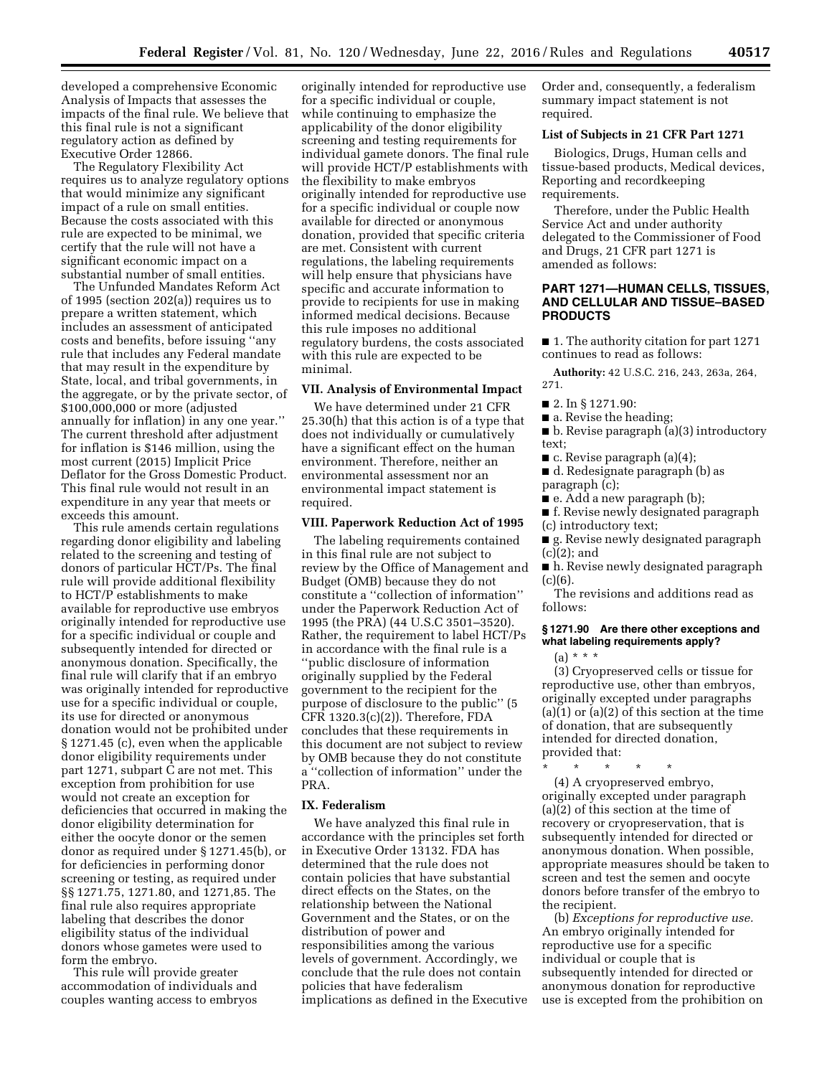developed a comprehensive Economic Analysis of Impacts that assesses the impacts of the final rule. We believe that this final rule is not a significant regulatory action as defined by Executive Order 12866.

The Regulatory Flexibility Act requires us to analyze regulatory options that would minimize any significant impact of a rule on small entities. Because the costs associated with this rule are expected to be minimal, we certify that the rule will not have a significant economic impact on a substantial number of small entities.

The Unfunded Mandates Reform Act of 1995 (section 202(a)) requires us to prepare a written statement, which includes an assessment of anticipated costs and benefits, before issuing ''any rule that includes any Federal mandate that may result in the expenditure by State, local, and tribal governments, in the aggregate, or by the private sector, of \$100,000,000 or more (adjusted annually for inflation) in any one year.'' The current threshold after adjustment for inflation is \$146 million, using the most current (2015) Implicit Price Deflator for the Gross Domestic Product. This final rule would not result in an expenditure in any year that meets or exceeds this amount.

This rule amends certain regulations regarding donor eligibility and labeling related to the screening and testing of donors of particular HCT/Ps. The final rule will provide additional flexibility to HCT/P establishments to make available for reproductive use embryos originally intended for reproductive use for a specific individual or couple and subsequently intended for directed or anonymous donation. Specifically, the final rule will clarify that if an embryo was originally intended for reproductive use for a specific individual or couple, its use for directed or anonymous donation would not be prohibited under § 1271.45 (c), even when the applicable donor eligibility requirements under part 1271, subpart C are not met. This exception from prohibition for use would not create an exception for deficiencies that occurred in making the donor eligibility determination for either the oocyte donor or the semen donor as required under § 1271.45(b), or for deficiencies in performing donor screening or testing, as required under §§ 1271.75, 1271.80, and 1271,85. The final rule also requires appropriate labeling that describes the donor eligibility status of the individual donors whose gametes were used to form the embryo.

This rule will provide greater accommodation of individuals and couples wanting access to embryos

originally intended for reproductive use for a specific individual or couple, while continuing to emphasize the applicability of the donor eligibility screening and testing requirements for individual gamete donors. The final rule will provide HCT/P establishments with the flexibility to make embryos originally intended for reproductive use for a specific individual or couple now available for directed or anonymous donation, provided that specific criteria are met. Consistent with current regulations, the labeling requirements will help ensure that physicians have specific and accurate information to provide to recipients for use in making informed medical decisions. Because this rule imposes no additional regulatory burdens, the costs associated with this rule are expected to be minimal.

#### **VII. Analysis of Environmental Impact**

We have determined under 21 CFR 25.30(h) that this action is of a type that does not individually or cumulatively have a significant effect on the human environment. Therefore, neither an environmental assessment nor an environmental impact statement is required.

## **VIII. Paperwork Reduction Act of 1995**

The labeling requirements contained in this final rule are not subject to review by the Office of Management and Budget (OMB) because they do not constitute a ''collection of information'' under the Paperwork Reduction Act of 1995 (the PRA) (44 U.S.C 3501–3520). Rather, the requirement to label HCT/Ps in accordance with the final rule is a ''public disclosure of information originally supplied by the Federal government to the recipient for the purpose of disclosure to the public'' (5 CFR 1320.3(c)(2)). Therefore, FDA concludes that these requirements in this document are not subject to review by OMB because they do not constitute a ''collection of information'' under the PRA.

### **IX. Federalism**

We have analyzed this final rule in accordance with the principles set forth in Executive Order 13132. FDA has determined that the rule does not contain policies that have substantial direct effects on the States, on the relationship between the National Government and the States, or on the distribution of power and responsibilities among the various levels of government. Accordingly, we conclude that the rule does not contain policies that have federalism implications as defined in the Executive Order and, consequently, a federalism summary impact statement is not required.

### **List of Subjects in 21 CFR Part 1271**

Biologics, Drugs, Human cells and tissue-based products, Medical devices, Reporting and recordkeeping requirements.

Therefore, under the Public Health Service Act and under authority delegated to the Commissioner of Food and Drugs, 21 CFR part 1271 is amended as follows:

# **PART 1271—HUMAN CELLS, TISSUES, AND CELLULAR AND TISSUE–BASED PRODUCTS**

■ 1. The authority citation for part 1271 continues to read as follows:

**Authority:** 42 U.S.C. 216, 243, 263a, 264, 271.

- 2. In § 1271.90:
- a. Revise the heading;
- b. Revise paragraph (a)(3) introductory text;
- $\blacksquare$  c. Revise paragraph (a)(4);
- d. Redesignate paragraph (b) as paragraph (c);
- e. Add a new paragraph (b);
- f. Revise newly designated paragraph (c) introductory text;
- g. Revise newly designated paragraph (c)(2); and
- h. Revise newly designated paragraph (c)(6).

The revisions and additions read as follows:

# **§ 1271.90 Are there other exceptions and what labeling requirements apply?**

 $(a) * * * *$ 

(3) Cryopreserved cells or tissue for reproductive use, other than embryos, originally excepted under paragraphs (a)(1) or (a)(2) of this section at the time of donation, that are subsequently intended for directed donation, provided that:

\* \* \* \* \* (4) A cryopreserved embryo, originally excepted under paragraph (a)(2) of this section at the time of recovery or cryopreservation, that is subsequently intended for directed or anonymous donation. When possible, appropriate measures should be taken to screen and test the semen and oocyte donors before transfer of the embryo to the recipient.

(b) *Exceptions for reproductive use.*  An embryo originally intended for reproductive use for a specific individual or couple that is subsequently intended for directed or anonymous donation for reproductive use is excepted from the prohibition on